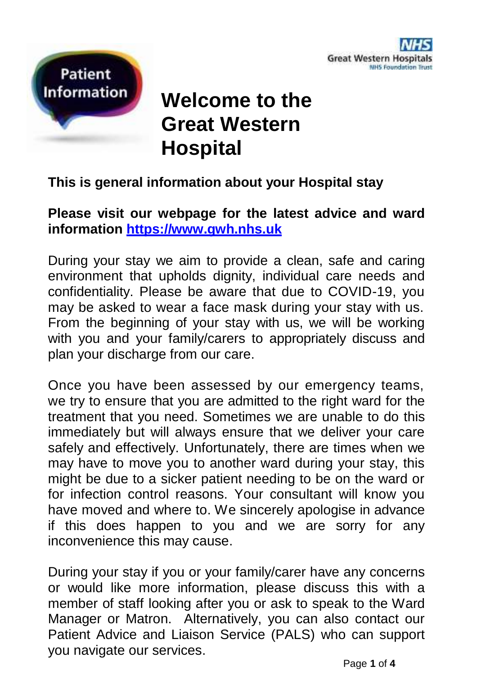

Page **1** of **4**



# **Welcome to the Great Western Hospital**

## **This is general information about your Hospital stay**

**Please visit our webpage for the latest advice and ward information [https://www.gwh.nhs.uk](https://www.gwh.nhs.uk/)**

During your stay we aim to provide a clean, safe and caring environment that upholds dignity, individual care needs and confidentiality. Please be aware that due to COVID-19, you may be asked to wear a face mask during your stay with us. From the beginning of your stay with us, we will be working with you and your family/carers to appropriately discuss and plan your discharge from our care.

Once you have been assessed by our emergency teams, we try to ensure that you are admitted to the right ward for the treatment that you need. Sometimes we are unable to do this immediately but will always ensure that we deliver your care safely and effectively. Unfortunately, there are times when we may have to move you to another ward during your stay, this might be due to a sicker patient needing to be on the ward or for infection control reasons. Your consultant will know you have moved and where to. We sincerely apologise in advance if this does happen to you and we are sorry for any inconvenience this may cause.

During your stay if you or your family/carer have any concerns or would like more information, please discuss this with a member of staff looking after you or ask to speak to the Ward Manager or Matron. Alternatively, you can also contact our Patient Advice and Liaison Service (PALS) who can support you navigate our services.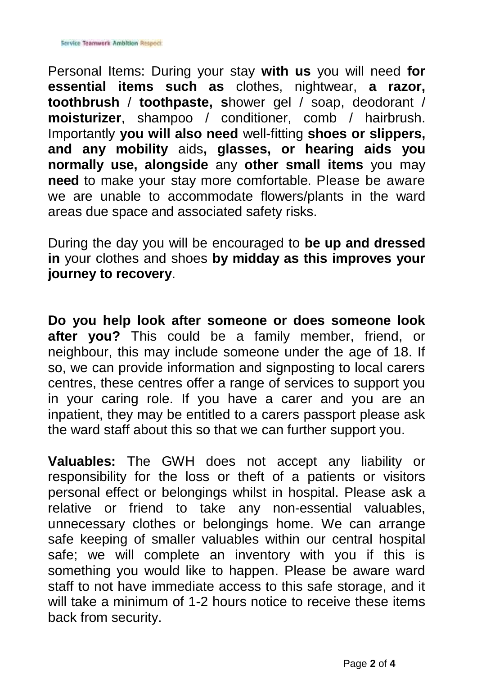Personal Items: During your stay **with us** you will need **for essential items such as** clothes, nightwear, **a razor, toothbrush** / **toothpaste, s**hower gel / soap, deodorant / **moisturizer**, shampoo / conditioner, comb / hairbrush. Importantly **you will also need** well-fitting **shoes or slippers, and any mobility** aids**, glasses, or hearing aids you normally use, alongside** any **other small items** you may **need** to make your stay more comfortable. Please be aware we are unable to accommodate flowers/plants in the ward areas due space and associated safety risks.

During the day you will be encouraged to **be up and dressed in** your clothes and shoes **by midday as this improves your journey to recovery**.

**Do you help look after someone or does someone look after you?** This could be a family member, friend, or neighbour, this may include someone under the age of 18. If so, we can provide information and signposting to local carers centres, these centres offer a range of services to support you in your caring role. If you have a carer and you are an inpatient, they may be entitled to a carers passport please ask the ward staff about this so that we can further support you.

**Valuables:** The GWH does not accept any liability or responsibility for the loss or theft of a patients or visitors personal effect or belongings whilst in hospital. Please ask a relative or friend to take any non-essential valuables, unnecessary clothes or belongings home. We can arrange safe keeping of smaller valuables within our central hospital safe; we will complete an inventory with you if this is something you would like to happen. Please be aware ward staff to not have immediate access to this safe storage, and it will take a minimum of 1-2 hours notice to receive these items back from security.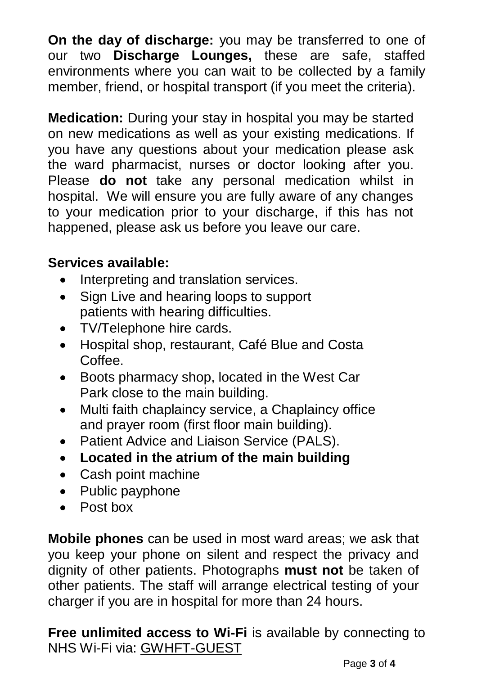**On the day of discharge:** you may be transferred to one of our two **Discharge Lounges**, these are safe, staffed environments where you can wait to be collected by a family member, friend, or hospital transport (if you meet the criteria).

**Medication:** During your stay in hospital you may be started on new medications as well as your existing medications. If you have any questions about your medication please ask the ward pharmacist, nurses or doctor looking after you. Please **do not** take any personal medication whilst in hospital. We will ensure you are fully aware of any changes to your medication prior to your discharge, if this has not happened, please ask us before you leave our care.

# **Services available:**

- Interpreting and translation services.
- Sign Live and hearing loops to support patients with hearing difficulties.
- TV/Telephone hire cards.
- Hospital shop, restaurant, Café Blue and Costa Coffee.
- Boots pharmacy shop, located in the West Car Park close to the main building.
- Multi faith chaplaincy service, a Chaplaincy office and prayer room (first floor main building).
- Patient Advice and Liaison Service (PALS).
- **Located in the atrium of the main building**
- Cash point machine
- Public payphone
- Post box

**Mobile phones** can be used in most ward areas; we ask that you keep your phone on silent and respect the privacy and dignity of other patients. Photographs **must not** be taken of other patients. The staff will arrange electrical testing of your charger if you are in hospital for more than 24 hours.

**Free unlimited access to Wi-Fi** is available by connecting to NHS Wi-Fi via: GWHFT-GUEST